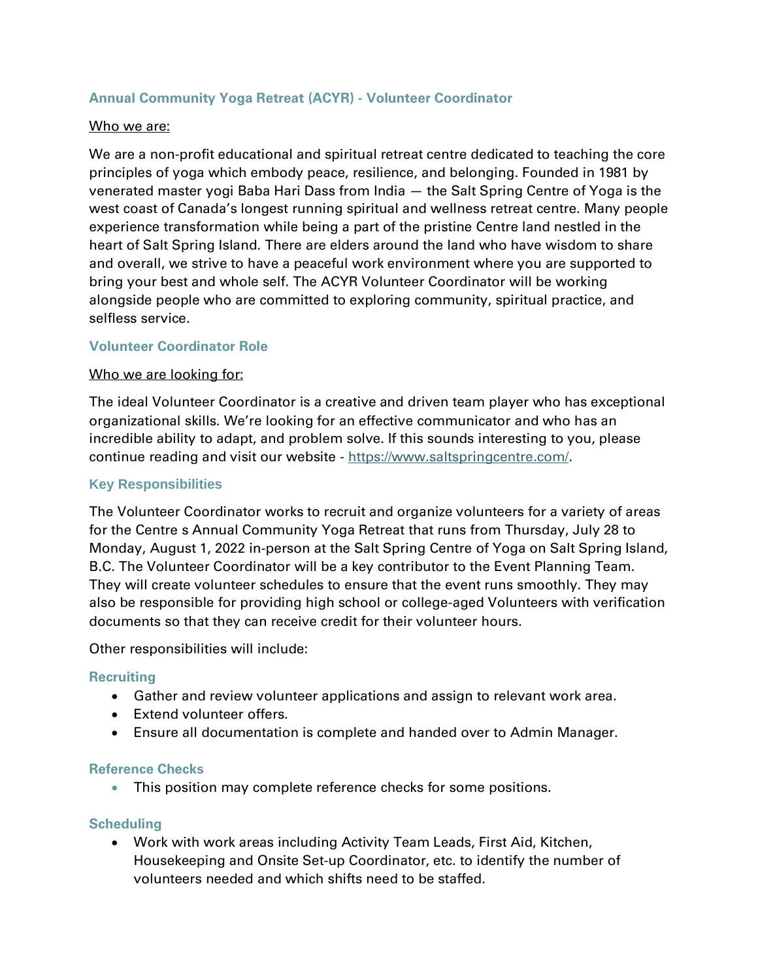#### **Annual Community Yoga Retreat (ACYR) - Volunteer Coordinator**

#### Who we are:

We are a non-profit educational and spiritual retreat centre dedicated to teaching the core principles of yoga which embody peace, resilience, and belonging. Founded in 1981 by venerated master yogi Baba Hari Dass from India — the Salt Spring Centre of Yoga is the west coast of Canada's longest running spiritual and wellness retreat centre. Many people experience transformation while being a part of the pristine Centre land nestled in the heart of Salt Spring Island. There are elders around the land who have wisdom to share and overall, we strive to have a peaceful work environment where you are supported to bring your best and whole self. The ACYR Volunteer Coordinator will be working alongside people who are committed to exploring community, spiritual practice, and selfless service.

#### **Volunteer Coordinator Role**

#### Who we are looking for:

The ideal Volunteer Coordinator is a creative and driven team player who has exceptional organizational skills. We're looking for an effective communicator and who has an incredible ability to adapt, and problem solve. If this sounds interesting to you, please continue reading and visit our website - [https://www.saltspringcentre.com/.](https://www.saltspringcentre.com/)

#### **Key Responsibilities**

The Volunteer Coordinator works to recruit and organize volunteers for a variety of areas for the Centre s Annual Community Yoga Retreat that runs from Thursday, July 28 to Monday, August 1, 2022 in-person at the Salt Spring Centre of Yoga on Salt Spring Island, B.C. The Volunteer Coordinator will be a key contributor to the Event Planning Team. They will create volunteer schedules to ensure that the event runs smoothly. They may also be responsible for providing high school or college-aged Volunteers with verification documents so that they can receive credit for their volunteer hours.

Other responsibilities will include:

#### **Recruiting**

- Gather and review volunteer applications and assign to relevant work area.
- Extend volunteer offers.
- Ensure all documentation is complete and handed over to Admin Manager.

#### **Reference Checks**

• This position may complete reference checks for some positions.

#### **Scheduling**

• Work with work areas including Activity Team Leads, First Aid, Kitchen, Housekeeping and Onsite Set-up Coordinator, etc. to identify the number of volunteers needed and which shifts need to be staffed.